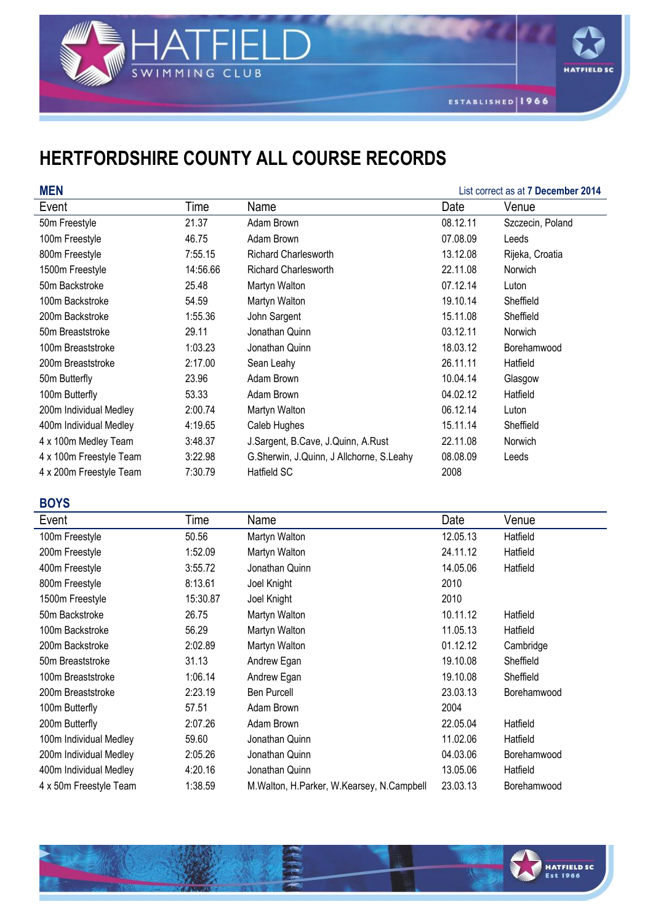



**HATFIELD SC** 

## **HERTFORDSHIRE COUNTY ALL COURSE RECORDS**

| <b>MEN</b>              | List correct as at 7 December 2014 |                                          |          |                  |
|-------------------------|------------------------------------|------------------------------------------|----------|------------------|
| Event                   | Time                               | Name                                     | Date     | Venue            |
| 50m Freestyle           | 21.37                              | Adam Brown                               | 08.12.11 | Szczecin, Poland |
| 100m Freestyle          | 46.75                              | Adam Brown                               | 07.08.09 | Leeds            |
| 800m Freestyle          | 7:55.15                            | <b>Richard Charlesworth</b>              | 13.12.08 | Rijeka, Croatia  |
| 1500m Freestyle         | 14:56.66                           | <b>Richard Charlesworth</b>              | 22.11.08 | Norwich          |
| 50m Backstroke          | 25.48                              | Martyn Walton                            | 07.12.14 | Luton            |
| 100m Backstroke         | 54.59                              | Martyn Walton                            | 19.10.14 | Sheffield        |
| 200m Backstroke         | 1:55.36                            | John Sargent                             | 15.11.08 | Sheffield        |
| 50m Breaststroke        | 29.11                              | Jonathan Quinn                           | 03.12.11 | Norwich          |
| 100m Breaststroke       | 1:03.23                            | Jonathan Quinn                           | 18.03.12 | Borehamwood      |
| 200m Breaststroke       | 2:17.00                            | Sean Leahy                               | 26.11.11 | Hatfield         |
| 50m Butterfly           | 23.96                              | Adam Brown                               | 10.04.14 | Glasgow          |
| 100m Butterfly          | 53.33                              | Adam Brown                               | 04.02.12 | Hatfield         |
| 200m Individual Medley  | 2:00.74                            | Martyn Walton                            | 06.12.14 | Luton            |
| 400m Individual Medley  | 4:19.65                            | Caleb Hughes                             | 15.11.14 | Sheffield        |
| 4 x 100m Medley Team    | 3:48.37                            | J.Sargent, B.Cave, J.Quinn, A.Rust       | 22.11.08 | Norwich          |
| 4 x 100m Freestyle Team | 3:22.98                            | G.Sherwin, J.Quinn, J Allchorne, S.Leahy | 08.08.09 | Leeds            |
| 4 x 200m Freestyle Team | 7:30.79                            | Hatfield SC                              | 2008     |                  |

## **BOYS**

| Event                  | Time     | Name                                          | Date     | Venue       |
|------------------------|----------|-----------------------------------------------|----------|-------------|
| 100m Freestyle         | 50.56    | Martyn Walton                                 | 12.05.13 | Hatfield    |
| 200m Freestyle         | 1:52.09  | Martyn Walton                                 | 24.11.12 | Hatfield    |
| 400m Freestyle         | 3:55.72  | Jonathan Quinn                                | 14.05.06 | Hatfield    |
| 800m Freestyle         | 8:13.61  | Joel Knight                                   | 2010     |             |
| 1500m Freestyle        | 15:30.87 | Joel Knight                                   | 2010     |             |
| 50m Backstroke         | 26.75    | Martyn Walton                                 | 10.11.12 | Hatfield    |
| 100m Backstroke        | 56.29    | Martyn Walton                                 | 11.05.13 | Hatfield    |
| 200m Backstroke        | 2:02.89  | Martyn Walton                                 | 01.12.12 | Cambridge   |
| 50m Breaststroke       | 31.13    | Andrew Egan                                   | 19.10.08 | Sheffield   |
| 100m Breaststroke      | 1:06.14  | Andrew Egan                                   | 19.10.08 | Sheffield   |
| 200m Breaststroke      | 2:23.19  | <b>Ben Purcell</b>                            | 23.03.13 | Borehamwood |
| 100m Butterfly         | 57.51    | Adam Brown                                    | 2004     |             |
| 200m Butterfly         | 2:07.26  | Adam Brown                                    | 22.05.04 | Hatfield    |
| 100m Individual Medley | 59.60    | Jonathan Quinn                                | 11.02.06 | Hatfield    |
| 200m Individual Medley | 2:05.26  | Jonathan Quinn                                | 04.03.06 | Borehamwood |
| 400m Individual Medley | 4:20.16  | Jonathan Quinn                                | 13.05.06 | Hatfield    |
| 4 x 50m Freestyle Team | 1:38.59  | M. Walton, H. Parker, W. Kearsey, N. Campbell | 23.03.13 | Borehamwood |